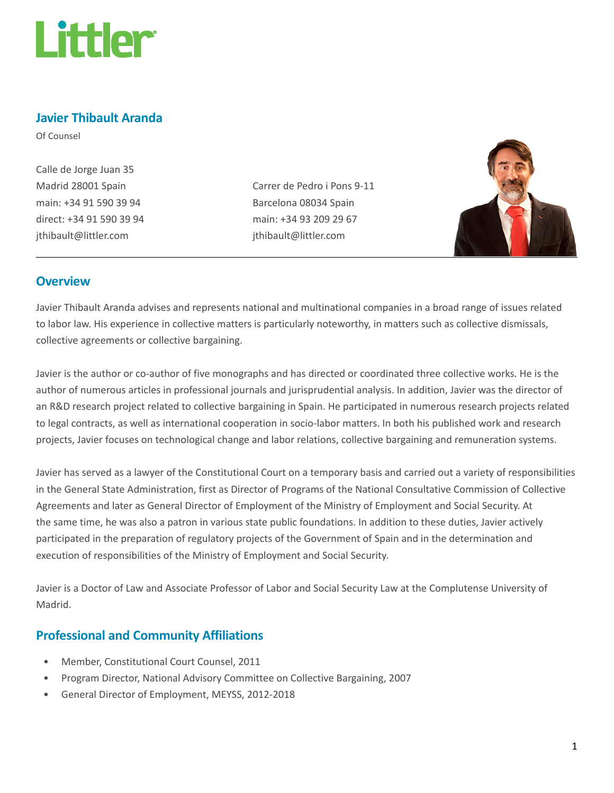

# Javier Thibault Aranda

Of Counsel

Calle de Jorge Juan 35 Madrid 28001 Spain main: +34 91 590 39 94 direct: +34 91 590 39 94 jthibault@littler.com

Carrer de Pedro i Pons 9-11 Barcelona 08034 Spain main: +34 93 209 29 67 jthibault@littler.com



#### **Overview**

Javier Thibault Aranda advises and represents national and multinational companies in a broad range of issues related to labor law. His experience in collective matters is particularly noteworthy, in matters such as collective dismissals, collective agreements or collective bargaining.

Javier is the author or co-author of five monographs and has directed or coordinated three collective works. He is the author of numerous articles in professional journals and jurisprudential analysis. In addition, Javier was the director of an R&D research project related to collective bargaining in Spain. He participated in numerous research projects related to legal contracts, as well as international cooperation in socio-labor matters. In both his published work and research projects, Javier focuses on technological change and labor relations, collective bargaining and remuneration systems.

Javier has served as a lawyer of the Constitutional Court on a temporary basis and carried out a variety of responsibilities in the General State Administration, first as Director of Programs of the National Consultative Commission of Collective Agreements and later as General Director of Employment of the Ministry of Employment and Social Security. At the same time, he was also a patron in various state public foundations. In addition to these duties, Javier actively participated in the preparation of regulatory projects of the Government of Spain and in the determination and execution of responsibilities of the Ministry of Employment and Social Security.

Javier is a Doctor of Law and Associate Professor of Labor and Social Security Law at the Complutense University of Madrid.

## Professional and Community Affiliations

- Member, Constitutional Court Counsel, 2011
- Program Director, National Advisory Committee on Collective Bargaining, 2007
- General Director of Employment, MEYSS, 2012-2018